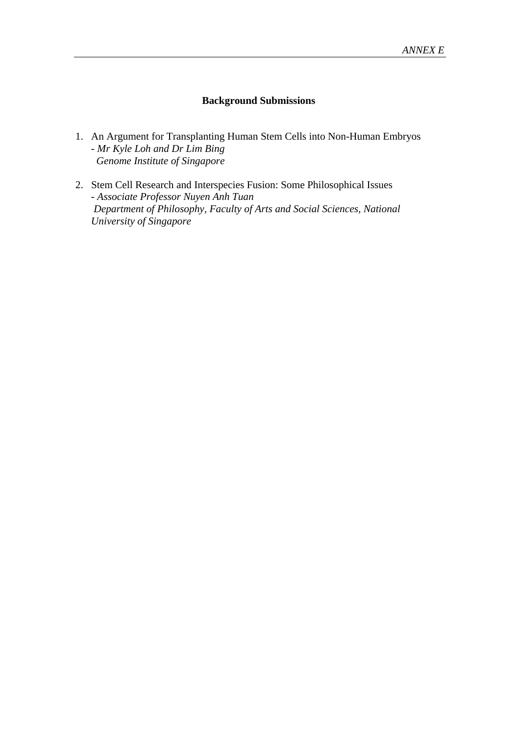## **Background Submissions**

- 1. An Argument for Transplanting Human Stem Cells into Non-Human Embryos - *Mr Kyle Loh and Dr Lim Bing Genome Institute of Singapore*
- 2. Stem Cell Research and Interspecies Fusion: Some Philosophical Issues - *Associate Professor Nuyen Anh Tuan Department of Philosophy, Faculty of Arts and Social Sciences, National University of Singapore*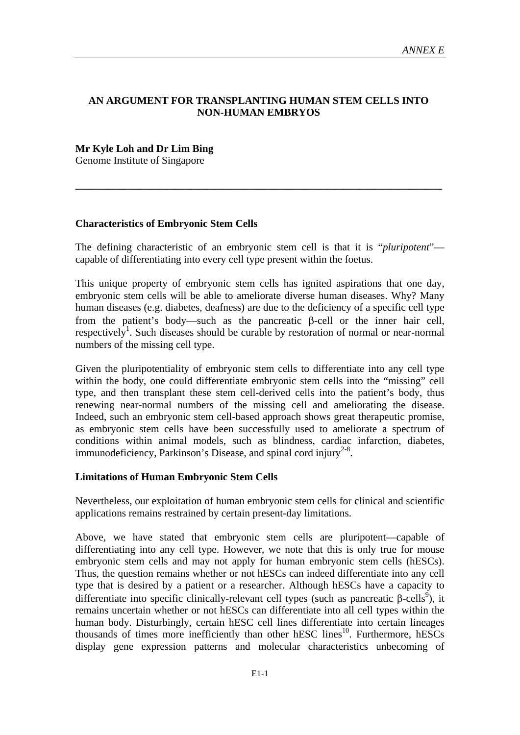## **AN ARGUMENT FOR TRANSPLANTING HUMAN STEM CELLS INTO NON-HUMAN EMBRYOS**

#### **Mr Kyle Loh and Dr Lim Bing**

Genome Institute of Singapore

#### **Characteristics of Embryonic Stem Cells**

The defining characteristic of an embryonic stem cell is that it is "*pluripotent*" capable of differentiating into every cell type present within the foetus.

**\_\_\_\_\_\_\_\_\_\_\_\_\_\_\_\_\_\_\_\_\_\_\_\_\_\_\_\_\_\_\_\_\_\_\_\_\_\_\_\_\_\_\_\_\_\_\_\_\_\_\_\_\_\_\_\_\_\_\_\_\_\_\_\_\_\_\_\_\_\_** 

This unique property of embryonic stem cells has ignited aspirations that one day, embryonic stem cells will be able to ameliorate diverse human diseases. Why? Many human diseases (e.g. diabetes, deafness) are due to the deficiency of a specific cell type from the patient's body—such as the pancreatic  $\beta$ -cell or the inner hair cell, respectively<sup>1</sup>. Such diseases should be curable by restoration of normal or near-normal numbers of the missing cell type.

Given the pluripotentiality of embryonic stem cells to differentiate into any cell type within the body, one could differentiate embryonic stem cells into the "missing" cell type, and then transplant these stem cell-derived cells into the patient's body, thus renewing near-normal numbers of the missing cell and ameliorating the disease. Indeed, such an embryonic stem cell-based approach shows great therapeutic promise, as embryonic stem cells have been successfully used to ameliorate a spectrum of conditions within animal models, such as blindness, cardiac infarction, diabetes, immunodeficiency, Parkinson's Disease, and spinal cord injury<sup>2-8</sup>.

#### **Limitations of Human Embryonic Stem Cells**

Nevertheless, our exploitation of human embryonic stem cells for clinical and scientific applications remains restrained by certain present-day limitations.

Above, we have stated that embryonic stem cells are pluripotent—capable of differentiating into any cell type. However, we note that this is only true for mouse embryonic stem cells and may not apply for human embryonic stem cells (hESCs). Thus, the question remains whether or not hESCs can indeed differentiate into any cell type that is desired by a patient or a researcher. Although hESCs have a capacity to differentiate into specific clinically-relevant cell types (such as pancreatic  $\beta$ -cells<sup>9</sup>), it remains uncertain whether or not hESCs can differentiate into all cell types within the human body. Disturbingly, certain hESC cell lines differentiate into certain lineages thousands of times more inefficiently than other hESC lines<sup>10</sup>. Furthermore, hESCs display gene expression patterns and molecular characteristics unbecoming of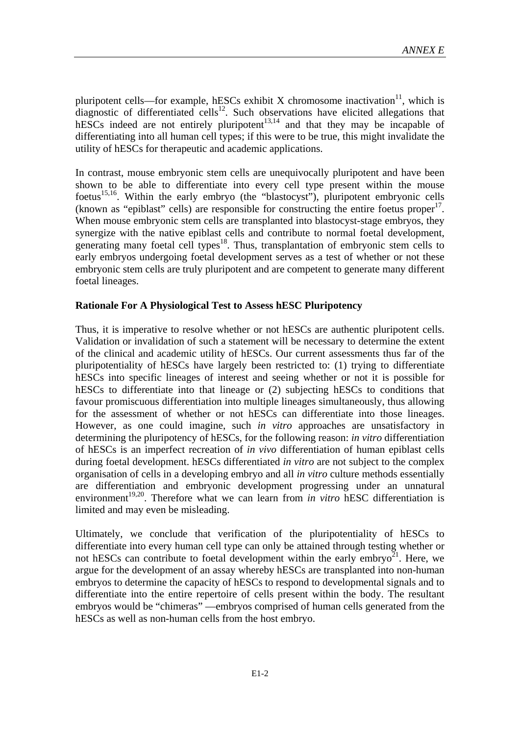pluripotent cells—for example, hESCs exhibit X chromosome inactivation $11$ , which is diagnostic of differentiated cells<sup>12</sup>. Such observations have elicited allegations that hESCs indeed are not entirely pluripotent<sup>13,14</sup> and that they may be incapable of differentiating into all human cell types; if this were to be true, this might invalidate the utility of hESCs for therapeutic and academic applications.

In contrast, mouse embryonic stem cells are unequivocally pluripotent and have been shown to be able to differentiate into every cell type present within the mouse foetus<sup>15,16</sup>. Within the early embryo (the "blastocyst"), pluripotent embryonic cells (known as "epiblast" cells) are responsible for constructing the entire foetus proper<sup>17</sup>. When mouse embryonic stem cells are transplanted into blastocyst-stage embryos, they synergize with the native epiblast cells and contribute to normal foetal development, generating many foetal cell types<sup>18</sup>. Thus, transplantation of embryonic stem cells to early embryos undergoing foetal development serves as a test of whether or not these embryonic stem cells are truly pluripotent and are competent to generate many different foetal lineages.

## **Rationale For A Physiological Test to Assess hESC Pluripotency**

Thus, it is imperative to resolve whether or not hESCs are authentic pluripotent cells. Validation or invalidation of such a statement will be necessary to determine the extent of the clinical and academic utility of hESCs. Our current assessments thus far of the pluripotentiality of hESCs have largely been restricted to: (1) trying to differentiate hESCs into specific lineages of interest and seeing whether or not it is possible for hESCs to differentiate into that lineage or (2) subjecting hESCs to conditions that favour promiscuous differentiation into multiple lineages simultaneously, thus allowing for the assessment of whether or not hESCs can differentiate into those lineages. However, as one could imagine, such *in vitro* approaches are unsatisfactory in determining the pluripotency of hESCs, for the following reason: *in vitro* differentiation of hESCs is an imperfect recreation of *in vivo* differentiation of human epiblast cells during foetal development. hESCs differentiated *in vitro* are not subject to the complex organisation of cells in a developing embryo and all *in vitro* culture methods essentially are differentiation and embryonic development progressing under an unnatural environment<sup>19,20</sup>. Therefore what we can learn from *in vitro* hESC differentiation is limited and may even be misleading.

Ultimately, we conclude that verification of the pluripotentiality of hESCs to differentiate into every human cell type can only be attained through testing whether or not hESCs can contribute to foetal development within the early embryo<sup>21</sup>. Here, we argue for the development of an assay whereby hESCs are transplanted into non-human embryos to determine the capacity of hESCs to respond to developmental signals and to differentiate into the entire repertoire of cells present within the body. The resultant embryos would be "chimeras" —embryos comprised of human cells generated from the hESCs as well as non-human cells from the host embryo.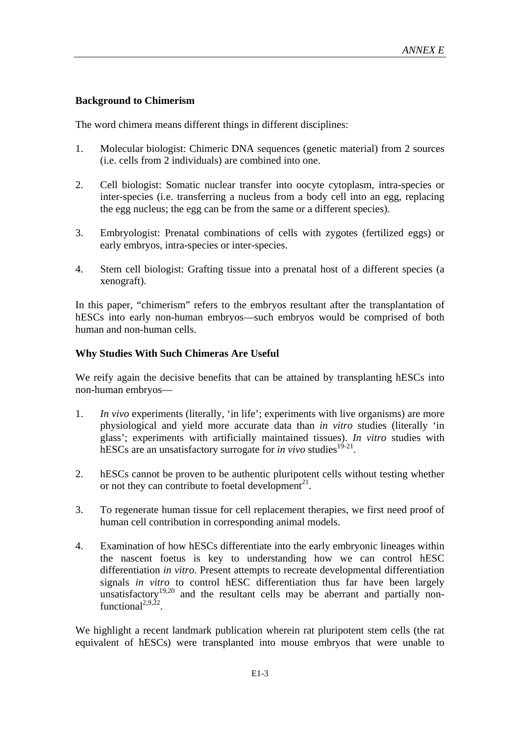## **Background to Chimerism**

The word chimera means different things in different disciplines:

- 1. Molecular biologist: Chimeric DNA sequences (genetic material) from 2 sources (i.e. cells from 2 individuals) are combined into one.
- 2. Cell biologist: Somatic nuclear transfer into oocyte cytoplasm, intra-species or inter-species (i.e. transferring a nucleus from a body cell into an egg, replacing the egg nucleus; the egg can be from the same or a different species).
- 3. Embryologist: Prenatal combinations of cells with zygotes (fertilized eggs) or early embryos, intra-species or inter-species.
- 4. Stem cell biologist: Grafting tissue into a prenatal host of a different species (a xenograft).

In this paper, "chimerism" refers to the embryos resultant after the transplantation of hESCs into early non-human embryos—such embryos would be comprised of both human and non-human cells.

## **Why Studies With Such Chimeras Are Useful**

We reify again the decisive benefits that can be attained by transplanting hESCs into non-human embryos—

- 1. *In vivo* experiments (literally, 'in life'; experiments with live organisms) are more physiological and yield more accurate data than *in vitro* studies (literally 'in glass'; experiments with artificially maintained tissues). *In vitro* studies with hESCs are an unsatisfactory surrogate for *in vivo* studies<sup>19-21</sup>.
- 2. hESCs cannot be proven to be authentic pluripotent cells without testing whether or not they can contribute to foetal development<sup>21</sup>.
- 3. To regenerate human tissue for cell replacement therapies, we first need proof of human cell contribution in corresponding animal models.
- 4. Examination of how hESCs differentiate into the early embryonic lineages within the nascent foetus is key to understanding how we can control hESC differentiation *in vitro*. Present attempts to recreate developmental differentiation signals *in vitro* to control hESC differentiation thus far have been largely unsatisfactory<sup>19,20</sup> and the resultant cells may be aberrant and partially nonfunctional<sup>2,9,22</sup>.

We highlight a recent landmark publication wherein rat pluripotent stem cells (the rat equivalent of hESCs) were transplanted into mouse embryos that were unable to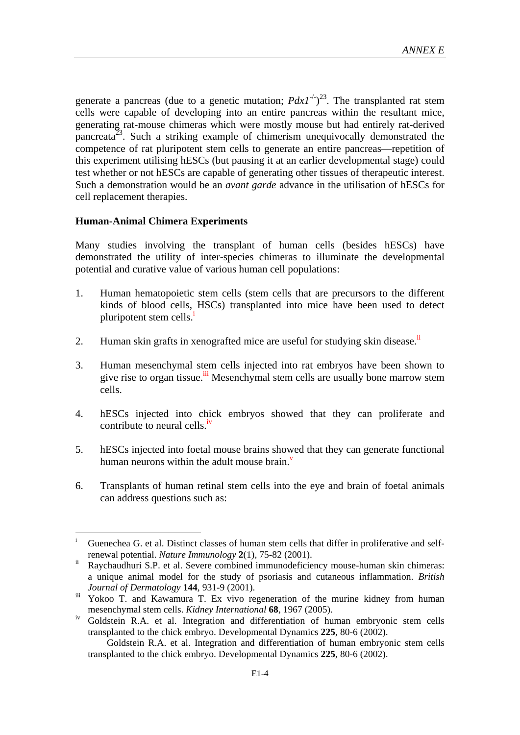generate a pancreas (due to a genetic mutation;  $PdxI^{-1/2^3}$ . The transplanted rat stem cells were capable of developing into an entire pancreas within the resultant mice, generating rat-mouse chimeras which were mostly mouse but had entirely rat-derived pancreata<sup>23</sup>. Such a striking example of chimerism unequivocally demonstrated the competence of rat pluripotent stem cells to generate an entire pancreas—repetition of this experiment utilising hESCs (but pausing it at an earlier developmental stage) could test whether or not hESCs are capable of generating other tissues of therapeutic interest. Such a demonstration would be an *avant garde* advance in the utilisation of hESCs for cell replacement therapies.

#### **Human-Animal Chimera Experiments**

 $\overline{a}$ 

Many studies involving the transplant of human cells (besides hESCs) have demonstrated the utility of inter-species chimeras to illuminate the developmental potential and curative value of various human cell populations:

- 1. Human hematopoietic stem cells (stem cells that are precursors to the different kinds of blood cells, HSCs) transplanted into mice have been used to detect pluripotent stem cells. $\frac{1}{1}$
- 2. Human skin grafts in xenografted mice are useful for studying skin disease.<sup>ii</sup>
- 3. Human mesenchymal stem cells injected into rat embryos have been shown to give rise to organ tissue.<sup>iii</sup> Mesenchymal stem cells are usually bone marrow stem cells.
- 4. hESCs injected into chick embryos showed that they can proliferate and contribute to neural cells.<sup>iv</sup>
- 5. hESCs injected into foetal mouse brains showed that they can generate functional human neurons within the adult mouse brain. $\overline{v}$
- 6. Transplants of human retinal stem cells into the eye and brain of foetal animals can address questions such as:

i Guenechea G. et al. Distinct classes of human stem cells that differ in proliferative and selfrenewal potential. *Nature Immunology* **2**(1), 75-82 (2001).

ii Raychaudhuri S.P. et al. Severe combined immunodeficiency mouse-human skin chimeras: a unique animal model for the study of psoriasis and cutaneous inflammation. *British Journal of Dermatology* **144**, 931-9 (2001).

iii Yokoo T. and Kawamura T. Ex vivo regeneration of the murine kidney from human mesenchymal stem cells. *Kidney International* **68**, 1967 (2005).

iv Goldstein R.A. et al. Integration and differentiation of human embryonic stem cells transplanted to the chick embryo. Developmental Dynamics **225**, 80-6 (2002).

Goldstein R.A. et al. Integration and differentiation of human embryonic stem cells transplanted to the chick embryo. Developmental Dynamics **225**, 80-6 (2002).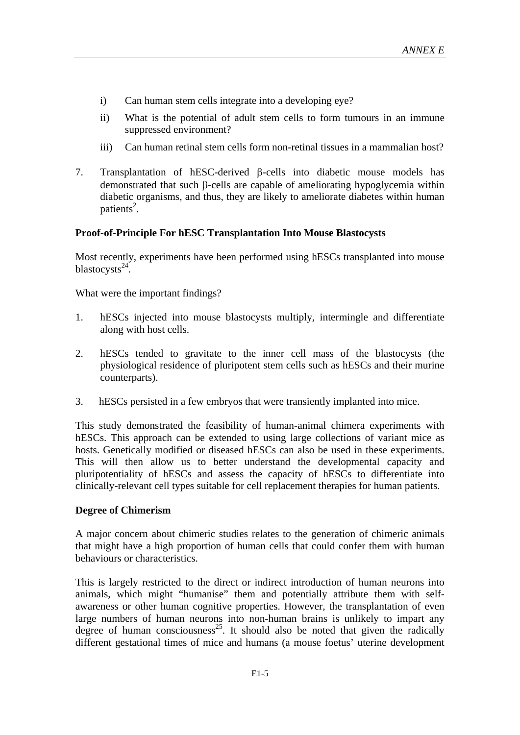- i) Can human stem cells integrate into a developing eye?
- ii) What is the potential of adult stem cells to form tumours in an immune suppressed environment?
- iii) Can human retinal stem cells form non-retinal tissues in a mammalian host?
- 7. Transplantation of hESC-derived  $\beta$ -cells into diabetic mouse models has demonstrated that such  $\beta$ -cells are capable of ameliorating hypoglycemia within diabetic organisms, and thus, they are likely to ameliorate diabetes within human patients<sup>2</sup>.

## **Proof-of-Principle For hESC Transplantation Into Mouse Blastocysts**

Most recently, experiments have been performed using hESCs transplanted into mouse blastocysts $^{24}$ .

What were the important findings?

- 1. hESCs injected into mouse blastocysts multiply, intermingle and differentiate along with host cells.
- 2. hESCs tended to gravitate to the inner cell mass of the blastocysts (the physiological residence of pluripotent stem cells such as hESCs and their murine counterparts).
- 3. hESCs persisted in a few embryos that were transiently implanted into mice.

This study demonstrated the feasibility of human-animal chimera experiments with hESCs. This approach can be extended to using large collections of variant mice as hosts. Genetically modified or diseased hESCs can also be used in these experiments. This will then allow us to better understand the developmental capacity and pluripotentiality of hESCs and assess the capacity of hESCs to differentiate into clinically-relevant cell types suitable for cell replacement therapies for human patients.

## **Degree of Chimerism**

A major concern about chimeric studies relates to the generation of chimeric animals that might have a high proportion of human cells that could confer them with human behaviours or characteristics.

This is largely restricted to the direct or indirect introduction of human neurons into animals, which might "humanise" them and potentially attribute them with selfawareness or other human cognitive properties. However, the transplantation of even large numbers of human neurons into non-human brains is unlikely to impart any degree of human consciousness<sup>25</sup>. It should also be noted that given the radically different gestational times of mice and humans (a mouse foetus' uterine development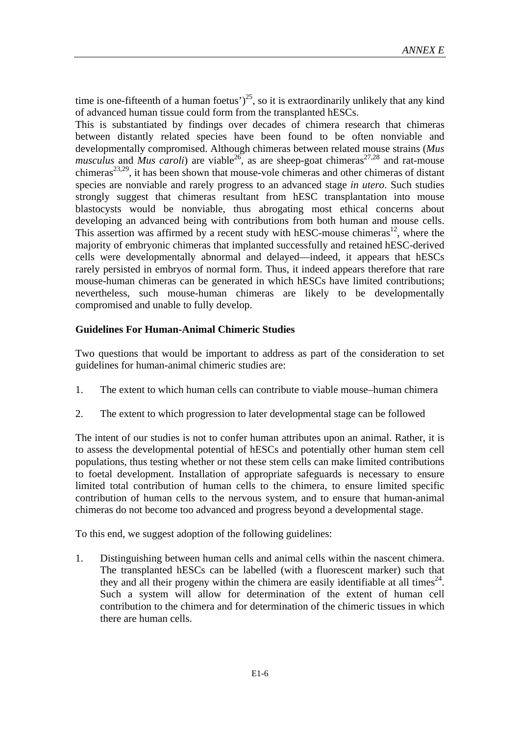time is one-fifteenth of a human foetus')<sup>25</sup>, so it is extraordinarily unlikely that any kind of advanced human tissue could form from the transplanted hESCs.

This is substantiated by findings over decades of chimera research that chimeras between distantly related species have been found to be often nonviable and developmentally compromised. Although chimeras between related mouse strains (*Mus musculus* and *Mus caroli*) are viable<sup>26</sup>, as are sheep-goat chimeras<sup>27,28</sup> and rat-mouse chimeras<sup>23,29</sup>, it has been shown that mouse-vole chimeras and other chimeras of distant species are nonviable and rarely progress to an advanced stage *in utero*. Such studies strongly suggest that chimeras resultant from hESC transplantation into mouse blastocysts would be nonviable, thus abrogating most ethical concerns about developing an advanced being with contributions from both human and mouse cells. This assertion was affirmed by a recent study with hESC-mouse chimeras<sup>12</sup>, where the majority of embryonic chimeras that implanted successfully and retained hESC-derived cells were developmentally abnormal and delayed—indeed, it appears that hESCs rarely persisted in embryos of normal form. Thus, it indeed appears therefore that rare mouse-human chimeras can be generated in which hESCs have limited contributions; nevertheless, such mouse-human chimeras are likely to be developmentally compromised and unable to fully develop.

#### **Guidelines For Human-Animal Chimeric Studies**

Two questions that would be important to address as part of the consideration to set guidelines for human-animal chimeric studies are:

- 1. The extent to which human cells can contribute to viable mouse–human chimera
- 2. The extent to which progression to later developmental stage can be followed

The intent of our studies is not to confer human attributes upon an animal. Rather, it is to assess the developmental potential of hESCs and potentially other human stem cell populations, thus testing whether or not these stem cells can make limited contributions to foetal development. Installation of appropriate safeguards is necessary to ensure limited total contribution of human cells to the chimera, to ensure limited specific contribution of human cells to the nervous system, and to ensure that human-animal chimeras do not become too advanced and progress beyond a developmental stage.

To this end, we suggest adoption of the following guidelines:

1. Distinguishing between human cells and animal cells within the nascent chimera. The transplanted hESCs can be labelled (with a fluorescent marker) such that they and all their progeny within the chimera are easily identifiable at all times<sup>24</sup>. Such a system will allow for determination of the extent of human cell contribution to the chimera and for determination of the chimeric tissues in which there are human cells.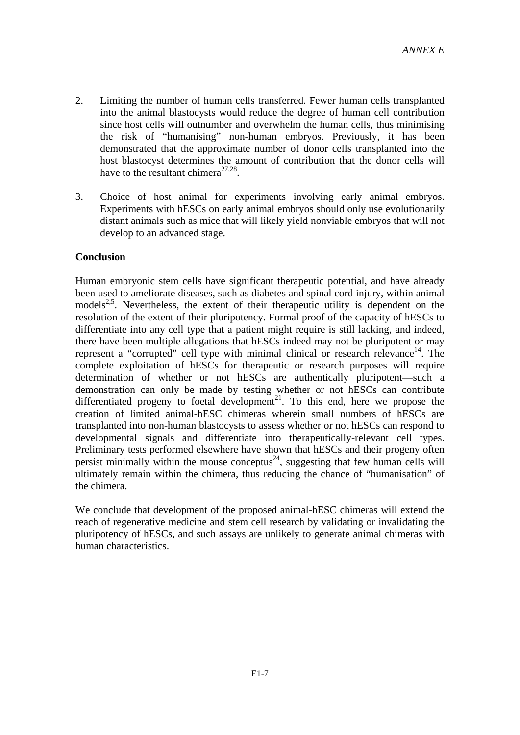- 2. Limiting the number of human cells transferred. Fewer human cells transplanted into the animal blastocysts would reduce the degree of human cell contribution since host cells will outnumber and overwhelm the human cells, thus minimising the risk of "humanising" non-human embryos. Previously, it has been demonstrated that the approximate number of donor cells transplanted into the host blastocyst determines the amount of contribution that the donor cells will have to the resultant chimera<sup>27,28</sup>.
- 3. Choice of host animal for experiments involving early animal embryos. Experiments with hESCs on early animal embryos should only use evolutionarily distant animals such as mice that will likely yield nonviable embryos that will not develop to an advanced stage.

#### **Conclusion**

Human embryonic stem cells have significant therapeutic potential, and have already been used to ameliorate diseases, such as diabetes and spinal cord injury, within animal models<sup>2,5</sup>. Nevertheless, the extent of their therapeutic utility is dependent on the resolution of the extent of their pluripotency. Formal proof of the capacity of hESCs to differentiate into any cell type that a patient might require is still lacking, and indeed, there have been multiple allegations that hESCs indeed may not be pluripotent or may represent a "corrupted" cell type with minimal clinical or research relevance $14$ . The complete exploitation of hESCs for therapeutic or research purposes will require determination of whether or not hESCs are authentically pluripotent—such a demonstration can only be made by testing whether or not hESCs can contribute differentiated progeny to foetal development<sup>21</sup>. To this end, here we propose the creation of limited animal-hESC chimeras wherein small numbers of hESCs are transplanted into non-human blastocysts to assess whether or not hESCs can respond to developmental signals and differentiate into therapeutically-relevant cell types. Preliminary tests performed elsewhere have shown that hESCs and their progeny often persist minimally within the mouse conceptus<sup>24</sup>, suggesting that few human cells will ultimately remain within the chimera, thus reducing the chance of "humanisation" of the chimera.

We conclude that development of the proposed animal-hESC chimeras will extend the reach of regenerative medicine and stem cell research by validating or invalidating the pluripotency of hESCs, and such assays are unlikely to generate animal chimeras with human characteristics.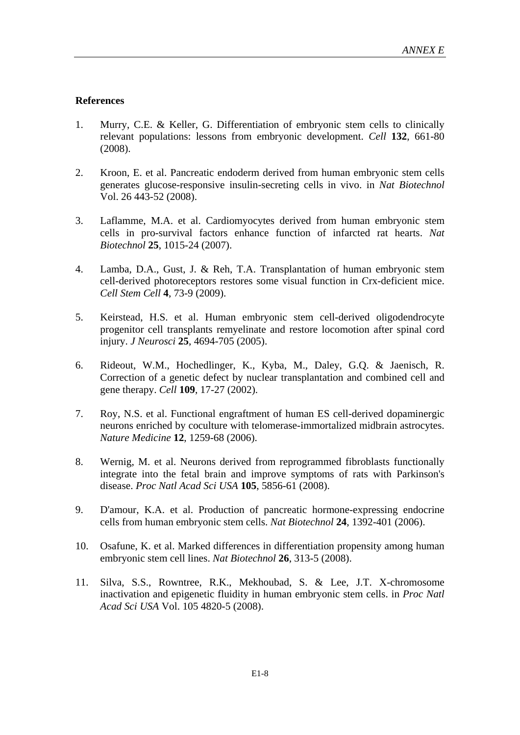## **References**

- 1. Murry, C.E. & Keller, G. Differentiation of embryonic stem cells to clinically relevant populations: lessons from embryonic development. *Cell* **132**, 661-80 (2008).
- 2. Kroon, E. et al. Pancreatic endoderm derived from human embryonic stem cells generates glucose-responsive insulin-secreting cells in vivo. in *Nat Biotechnol*  Vol. 26 443-52 (2008).
- 3. Laflamme, M.A. et al. Cardiomyocytes derived from human embryonic stem cells in pro-survival factors enhance function of infarcted rat hearts. *Nat Biotechnol* **25**, 1015-24 (2007).
- 4. Lamba, D.A., Gust, J. & Reh, T.A. Transplantation of human embryonic stem cell-derived photoreceptors restores some visual function in Crx-deficient mice. *Cell Stem Cell* **4**, 73-9 (2009).
- 5. Keirstead, H.S. et al. Human embryonic stem cell-derived oligodendrocyte progenitor cell transplants remyelinate and restore locomotion after spinal cord injury. *J Neurosci* **25**, 4694-705 (2005).
- 6. Rideout, W.M., Hochedlinger, K., Kyba, M., Daley, G.Q. & Jaenisch, R. Correction of a genetic defect by nuclear transplantation and combined cell and gene therapy. *Cell* **109**, 17-27 (2002).
- 7. Roy, N.S. et al. Functional engraftment of human ES cell-derived dopaminergic neurons enriched by coculture with telomerase-immortalized midbrain astrocytes. *Nature Medicine* **12**, 1259-68 (2006).
- 8. Wernig, M. et al. Neurons derived from reprogrammed fibroblasts functionally integrate into the fetal brain and improve symptoms of rats with Parkinson's disease. *Proc Natl Acad Sci USA* **105**, 5856-61 (2008).
- 9. D'amour, K.A. et al. Production of pancreatic hormone-expressing endocrine cells from human embryonic stem cells. *Nat Biotechnol* **24**, 1392-401 (2006).
- 10. Osafune, K. et al. Marked differences in differentiation propensity among human embryonic stem cell lines. *Nat Biotechnol* **26**, 313-5 (2008).
- 11. Silva, S.S., Rowntree, R.K., Mekhoubad, S. & Lee, J.T. X-chromosome inactivation and epigenetic fluidity in human embryonic stem cells. in *Proc Natl Acad Sci USA* Vol. 105 4820-5 (2008).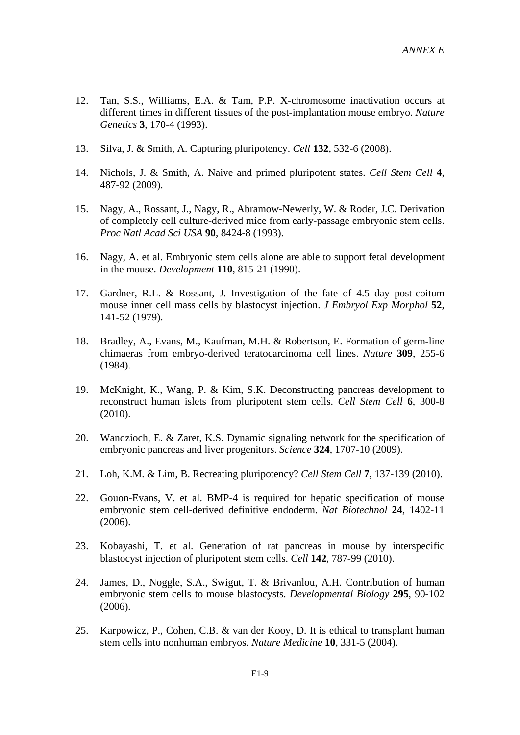- 12. Tan, S.S., Williams, E.A. & Tam, P.P. X-chromosome inactivation occurs at different times in different tissues of the post-implantation mouse embryo. *Nature Genetics* **3**, 170-4 (1993).
- 13. Silva, J. & Smith, A. Capturing pluripotency. *Cell* **132**, 532-6 (2008).
- 14. Nichols, J. & Smith, A. Naive and primed pluripotent states. *Cell Stem Cell* **4**, 487-92 (2009).
- 15. Nagy, A., Rossant, J., Nagy, R., Abramow-Newerly, W. & Roder, J.C. Derivation of completely cell culture-derived mice from early-passage embryonic stem cells. *Proc Natl Acad Sci USA* **90**, 8424-8 (1993).
- 16. Nagy, A. et al. Embryonic stem cells alone are able to support fetal development in the mouse. *Development* **110**, 815-21 (1990).
- 17. Gardner, R.L. & Rossant, J. Investigation of the fate of 4.5 day post-coitum mouse inner cell mass cells by blastocyst injection. *J Embryol Exp Morphol* **52**, 141-52 (1979).
- 18. Bradley, A., Evans, M., Kaufman, M.H. & Robertson, E. Formation of germ-line chimaeras from embryo-derived teratocarcinoma cell lines. *Nature* **309**, 255-6 (1984).
- 19. McKnight, K., Wang, P. & Kim, S.K. Deconstructing pancreas development to reconstruct human islets from pluripotent stem cells. *Cell Stem Cell* **6**, 300-8 (2010).
- 20. Wandzioch, E. & Zaret, K.S. Dynamic signaling network for the specification of embryonic pancreas and liver progenitors. *Science* **324**, 1707-10 (2009).
- 21. Loh, K.M. & Lim, B. Recreating pluripotency? *Cell Stem Cell* **7**, 137-139 (2010).
- 22. Gouon-Evans, V. et al. BMP-4 is required for hepatic specification of mouse embryonic stem cell-derived definitive endoderm. *Nat Biotechnol* **24**, 1402-11 (2006).
- 23. Kobayashi, T. et al. Generation of rat pancreas in mouse by interspecific blastocyst injection of pluripotent stem cells. *Cell* **142**, 787-99 (2010).
- 24. James, D., Noggle, S.A., Swigut, T. & Brivanlou, A.H. Contribution of human embryonic stem cells to mouse blastocysts. *Developmental Biology* **295**, 90-102 (2006).
- 25. Karpowicz, P., Cohen, C.B. & van der Kooy, D. It is ethical to transplant human stem cells into nonhuman embryos. *Nature Medicine* **10**, 331-5 (2004).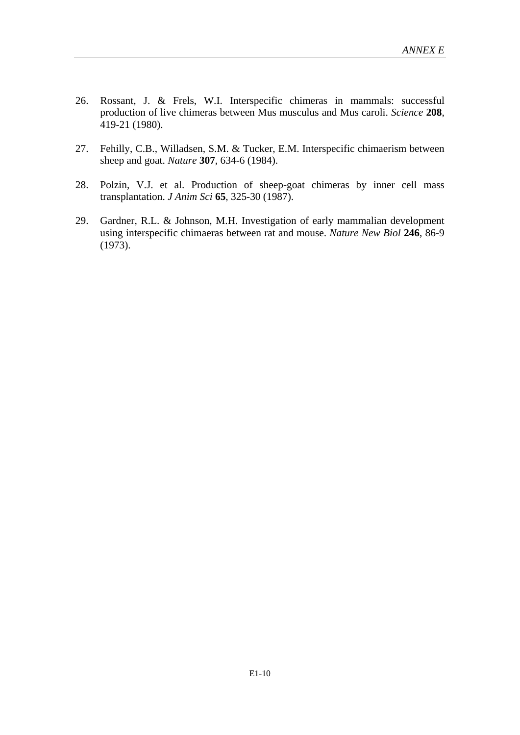- 26. Rossant, J. & Frels, W.I. Interspecific chimeras in mammals: successful production of live chimeras between Mus musculus and Mus caroli. *Science* **208**, 419-21 (1980).
- 27. Fehilly, C.B., Willadsen, S.M. & Tucker, E.M. Interspecific chimaerism between sheep and goat. *Nature* **307**, 634-6 (1984).
- 28. Polzin, V.J. et al. Production of sheep-goat chimeras by inner cell mass transplantation. *J Anim Sci* **65**, 325-30 (1987).
- 29. Gardner, R.L. & Johnson, M.H. Investigation of early mammalian development using interspecific chimaeras between rat and mouse. *Nature New Biol* **246**, 86-9 (1973).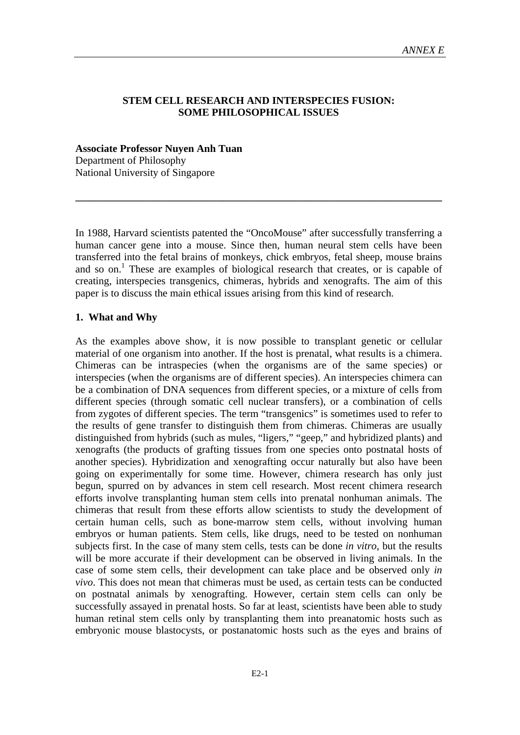#### **STEM CELL RESEARCH AND INTERSPECIES FUSION: SOME PHILOSOPHICAL ISSUES**

**Associate Professor Nuyen Anh Tuan**  Department of Philosophy National University of Singapore

In 1988, Harvard scientists patented the "OncoMouse" after successfully transferring a human cancer gene into a mouse. Since then, human neural stem cells have been transferred into the fetal brains of monkeys, chick embryos, fetal sheep, mouse brains and so on.<sup>1</sup> These are examples of biological research that creates, or is capable of creating, interspecies transgenics, chimeras, hybrids and xenografts. The aim of this paper is to discuss the main ethical issues arising from this kind of research.

**\_\_\_\_\_\_\_\_\_\_\_\_\_\_\_\_\_\_\_\_\_\_\_\_\_\_\_\_\_\_\_\_\_\_\_\_\_\_\_\_\_\_\_\_\_\_\_\_\_\_\_\_\_\_\_\_\_\_\_\_\_\_\_\_\_\_\_\_\_\_** 

#### **1. What and Why**

As the examples above show, it is now possible to transplant genetic or cellular material of one organism into another. If the host is prenatal, what results is a chimera. Chimeras can be intraspecies (when the organisms are of the same species) or interspecies (when the organisms are of different species). An interspecies chimera can be a combination of DNA sequences from different species, or a mixture of cells from different species (through somatic cell nuclear transfers), or a combination of cells from zygotes of different species. The term "transgenics" is sometimes used to refer to the results of gene transfer to distinguish them from chimeras. Chimeras are usually distinguished from hybrids (such as mules, "ligers," "geep," and hybridized plants) and xenografts (the products of grafting tissues from one species onto postnatal hosts of another species). Hybridization and xenografting occur naturally but also have been going on experimentally for some time. However, chimera research has only just begun, spurred on by advances in stem cell research. Most recent chimera research efforts involve transplanting human stem cells into prenatal nonhuman animals. The chimeras that result from these efforts allow scientists to study the development of certain human cells, such as bone-marrow stem cells, without involving human embryos or human patients. Stem cells, like drugs, need to be tested on nonhuman subjects first. In the case of many stem cells, tests can be done *in vitro*, but the results will be more accurate if their development can be observed in living animals. In the case of some stem cells, their development can take place and be observed only *in vivo*. This does not mean that chimeras must be used, as certain tests can be conducted on postnatal animals by xenografting. However, certain stem cells can only be successfully assayed in prenatal hosts. So far at least, scientists have been able to study human retinal stem cells only by transplanting them into preanatomic hosts such as embryonic mouse blastocysts, or postanatomic hosts such as the eyes and brains of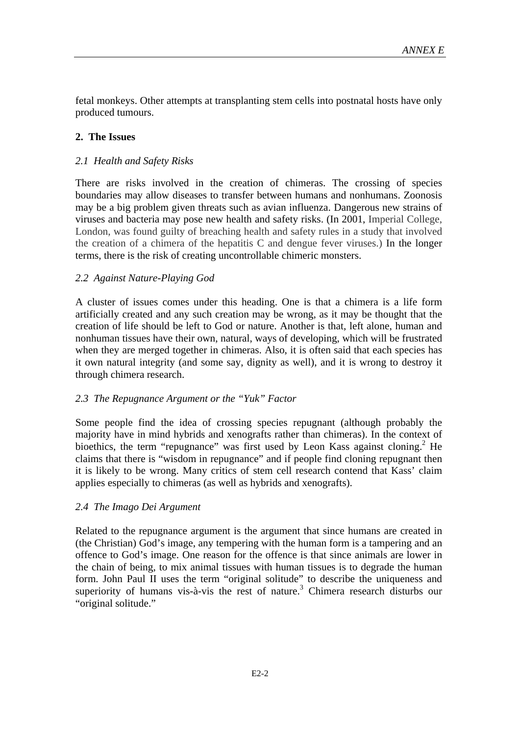fetal monkeys. Other attempts at transplanting stem cells into postnatal hosts have only produced tumours.

#### **2. The Issues**

#### *2.1 Health and Safety Risks*

There are risks involved in the creation of chimeras. The crossing of species boundaries may allow diseases to transfer between humans and nonhumans. Zoonosis may be a big problem given threats such as avian influenza. Dangerous new strains of viruses and bacteria may pose new health and safety risks. (In 2001, Imperial College, London, was found guilty of breaching health and safety rules in a study that involved the creation of a chimera of the hepatitis C and dengue fever viruses.) In the longer terms, there is the risk of creating uncontrollable chimeric monsters.

## *2.2 Against Nature-Playing God*

A cluster of issues comes under this heading. One is that a chimera is a life form artificially created and any such creation may be wrong, as it may be thought that the creation of life should be left to God or nature. Another is that, left alone, human and nonhuman tissues have their own, natural, ways of developing, which will be frustrated when they are merged together in chimeras. Also, it is often said that each species has it own natural integrity (and some say, dignity as well), and it is wrong to destroy it through chimera research.

#### *2.3 The Repugnance Argument or the "Yuk" Factor*

Some people find the idea of crossing species repugnant (although probably the majority have in mind hybrids and xenografts rather than chimeras). In the context of bioethics, the term "repugnance" was first used by Leon Kass against cloning.<sup>2</sup> He claims that there is "wisdom in repugnance" and if people find cloning repugnant then it is likely to be wrong. Many critics of stem cell research contend that Kass' claim applies especially to chimeras (as well as hybrids and xenografts).

#### *2.4 The Imago Dei Argument*

Related to the repugnance argument is the argument that since humans are created in (the Christian) God's image, any tempering with the human form is a tampering and an offence to God's image. One reason for the offence is that since animals are lower in the chain of being, to mix animal tissues with human tissues is to degrade the human form. John Paul II uses the term "original solitude" to describe the uniqueness and superiority of humans vis-à-vis the rest of nature.<sup>3</sup> Chimera research disturbs our "original solitude."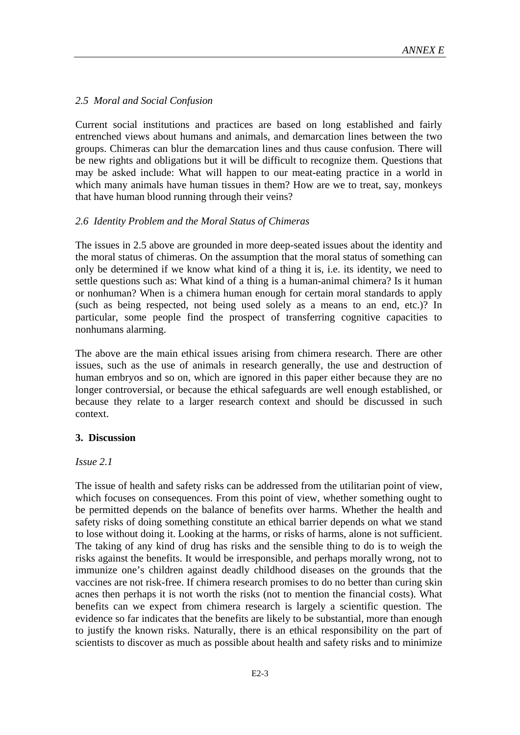## *2.5 Moral and Social Confusion*

Current social institutions and practices are based on long established and fairly entrenched views about humans and animals, and demarcation lines between the two groups. Chimeras can blur the demarcation lines and thus cause confusion. There will be new rights and obligations but it will be difficult to recognize them. Questions that may be asked include: What will happen to our meat-eating practice in a world in which many animals have human tissues in them? How are we to treat, say, monkeys that have human blood running through their veins?

## *2.6 Identity Problem and the Moral Status of Chimeras*

The issues in 2.5 above are grounded in more deep-seated issues about the identity and the moral status of chimeras. On the assumption that the moral status of something can only be determined if we know what kind of a thing it is, i.e. its identity, we need to settle questions such as: What kind of a thing is a human-animal chimera? Is it human or nonhuman? When is a chimera human enough for certain moral standards to apply (such as being respected, not being used solely as a means to an end, etc.)? In particular, some people find the prospect of transferring cognitive capacities to nonhumans alarming.

The above are the main ethical issues arising from chimera research. There are other issues, such as the use of animals in research generally, the use and destruction of human embryos and so on, which are ignored in this paper either because they are no longer controversial, or because the ethical safeguards are well enough established, or because they relate to a larger research context and should be discussed in such context.

# **3. Discussion**

#### *Issue 2.1*

The issue of health and safety risks can be addressed from the utilitarian point of view, which focuses on consequences. From this point of view, whether something ought to be permitted depends on the balance of benefits over harms. Whether the health and safety risks of doing something constitute an ethical barrier depends on what we stand to lose without doing it. Looking at the harms, or risks of harms, alone is not sufficient. The taking of any kind of drug has risks and the sensible thing to do is to weigh the risks against the benefits. It would be irresponsible, and perhaps morally wrong, not to immunize one's children against deadly childhood diseases on the grounds that the vaccines are not risk-free. If chimera research promises to do no better than curing skin acnes then perhaps it is not worth the risks (not to mention the financial costs). What benefits can we expect from chimera research is largely a scientific question. The evidence so far indicates that the benefits are likely to be substantial, more than enough to justify the known risks. Naturally, there is an ethical responsibility on the part of scientists to discover as much as possible about health and safety risks and to minimize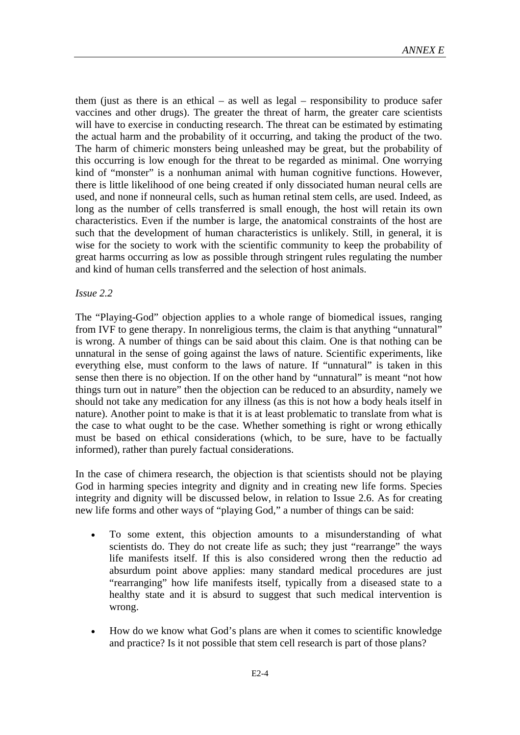them (just as there is an ethical  $-$  as well as legal  $-$  responsibility to produce safer vaccines and other drugs). The greater the threat of harm, the greater care scientists will have to exercise in conducting research. The threat can be estimated by estimating the actual harm and the probability of it occurring, and taking the product of the two. The harm of chimeric monsters being unleashed may be great, but the probability of this occurring is low enough for the threat to be regarded as minimal. One worrying kind of "monster" is a nonhuman animal with human cognitive functions. However, there is little likelihood of one being created if only dissociated human neural cells are used, and none if nonneural cells, such as human retinal stem cells, are used. Indeed, as long as the number of cells transferred is small enough, the host will retain its own characteristics. Even if the number is large, the anatomical constraints of the host are such that the development of human characteristics is unlikely. Still, in general, it is wise for the society to work with the scientific community to keep the probability of great harms occurring as low as possible through stringent rules regulating the number and kind of human cells transferred and the selection of host animals.

#### *Issue 2.2*

The "Playing-God" objection applies to a whole range of biomedical issues, ranging from IVF to gene therapy. In nonreligious terms, the claim is that anything "unnatural" is wrong. A number of things can be said about this claim. One is that nothing can be unnatural in the sense of going against the laws of nature. Scientific experiments, like everything else, must conform to the laws of nature. If "unnatural" is taken in this sense then there is no objection. If on the other hand by "unnatural" is meant "not how things turn out in nature" then the objection can be reduced to an absurdity, namely we should not take any medication for any illness (as this is not how a body heals itself in nature). Another point to make is that it is at least problematic to translate from what is the case to what ought to be the case. Whether something is right or wrong ethically must be based on ethical considerations (which, to be sure, have to be factually informed), rather than purely factual considerations.

In the case of chimera research, the objection is that scientists should not be playing God in harming species integrity and dignity and in creating new life forms. Species integrity and dignity will be discussed below, in relation to Issue 2.6. As for creating new life forms and other ways of "playing God," a number of things can be said:

- To some extent, this objection amounts to a misunderstanding of what scientists do. They do not create life as such; they just "rearrange" the ways life manifests itself. If this is also considered wrong then the reductio ad absurdum point above applies: many standard medical procedures are just "rearranging" how life manifests itself, typically from a diseased state to a healthy state and it is absurd to suggest that such medical intervention is wrong.
- How do we know what God's plans are when it comes to scientific knowledge and practice? Is it not possible that stem cell research is part of those plans?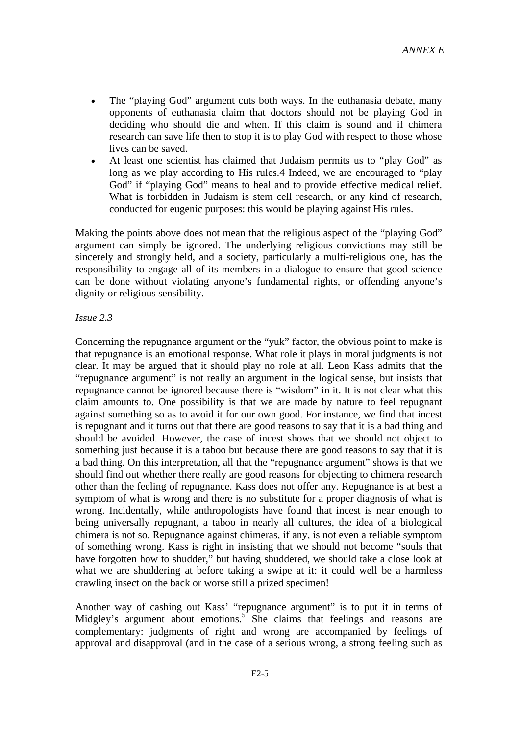- The "playing God" argument cuts both ways. In the euthanasia debate, many opponents of euthanasia claim that doctors should not be playing God in deciding who should die and when. If this claim is sound and if chimera research can save life then to stop it is to play God with respect to those whose lives can be saved.
- At least one scientist has claimed that Judaism permits us to "play God" as long as we play according to His rules.4 Indeed, we are encouraged to "play" God" if "playing God" means to heal and to provide effective medical relief. What is forbidden in Judaism is stem cell research, or any kind of research, conducted for eugenic purposes: this would be playing against His rules.

Making the points above does not mean that the religious aspect of the "playing God" argument can simply be ignored. The underlying religious convictions may still be sincerely and strongly held, and a society, particularly a multi-religious one, has the responsibility to engage all of its members in a dialogue to ensure that good science can be done without violating anyone's fundamental rights, or offending anyone's dignity or religious sensibility.

#### *Issue 2.3*

Concerning the repugnance argument or the "yuk" factor, the obvious point to make is that repugnance is an emotional response. What role it plays in moral judgments is not clear. It may be argued that it should play no role at all. Leon Kass admits that the "repugnance argument" is not really an argument in the logical sense, but insists that repugnance cannot be ignored because there is "wisdom" in it. It is not clear what this claim amounts to. One possibility is that we are made by nature to feel repugnant against something so as to avoid it for our own good. For instance, we find that incest is repugnant and it turns out that there are good reasons to say that it is a bad thing and should be avoided. However, the case of incest shows that we should not object to something just because it is a taboo but because there are good reasons to say that it is a bad thing. On this interpretation, all that the "repugnance argument" shows is that we should find out whether there really are good reasons for objecting to chimera research other than the feeling of repugnance. Kass does not offer any. Repugnance is at best a symptom of what is wrong and there is no substitute for a proper diagnosis of what is wrong. Incidentally, while anthropologists have found that incest is near enough to being universally repugnant, a taboo in nearly all cultures, the idea of a biological chimera is not so. Repugnance against chimeras, if any, is not even a reliable symptom of something wrong. Kass is right in insisting that we should not become "souls that have forgotten how to shudder," but having shuddered, we should take a close look at what we are shuddering at before taking a swipe at it: it could well be a harmless crawling insect on the back or worse still a prized specimen!

Another way of cashing out Kass' "repugnance argument" is to put it in terms of Midgley's argument about emotions.<sup>5</sup> She claims that feelings and reasons are complementary: judgments of right and wrong are accompanied by feelings of approval and disapproval (and in the case of a serious wrong, a strong feeling such as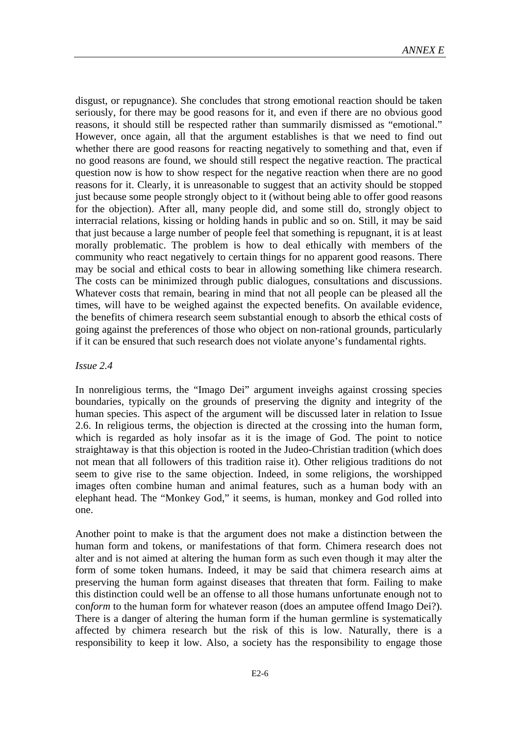disgust, or repugnance). She concludes that strong emotional reaction should be taken seriously, for there may be good reasons for it, and even if there are no obvious good reasons, it should still be respected rather than summarily dismissed as "emotional." However, once again, all that the argument establishes is that we need to find out whether there are good reasons for reacting negatively to something and that, even if no good reasons are found, we should still respect the negative reaction. The practical question now is how to show respect for the negative reaction when there are no good reasons for it. Clearly, it is unreasonable to suggest that an activity should be stopped just because some people strongly object to it (without being able to offer good reasons for the objection). After all, many people did, and some still do, strongly object to interracial relations, kissing or holding hands in public and so on. Still, it may be said that just because a large number of people feel that something is repugnant, it is at least morally problematic. The problem is how to deal ethically with members of the community who react negatively to certain things for no apparent good reasons. There may be social and ethical costs to bear in allowing something like chimera research. The costs can be minimized through public dialogues, consultations and discussions. Whatever costs that remain, bearing in mind that not all people can be pleased all the times, will have to be weighed against the expected benefits. On available evidence, the benefits of chimera research seem substantial enough to absorb the ethical costs of going against the preferences of those who object on non-rational grounds, particularly if it can be ensured that such research does not violate anyone's fundamental rights.

#### *Issue 2.4*

In nonreligious terms, the "Imago Dei" argument inveighs against crossing species boundaries, typically on the grounds of preserving the dignity and integrity of the human species. This aspect of the argument will be discussed later in relation to Issue 2.6. In religious terms, the objection is directed at the crossing into the human form, which is regarded as holy insofar as it is the image of God. The point to notice straightaway is that this objection is rooted in the Judeo-Christian tradition (which does not mean that all followers of this tradition raise it). Other religious traditions do not seem to give rise to the same objection. Indeed, in some religions, the worshipped images often combine human and animal features, such as a human body with an elephant head. The "Monkey God," it seems, is human, monkey and God rolled into one.

Another point to make is that the argument does not make a distinction between the human form and tokens, or manifestations of that form. Chimera research does not alter and is not aimed at altering the human form as such even though it may alter the form of some token humans. Indeed, it may be said that chimera research aims at preserving the human form against diseases that threaten that form. Failing to make this distinction could well be an offense to all those humans unfortunate enough not to con*form* to the human form for whatever reason (does an amputee offend Imago Dei?). There is a danger of altering the human form if the human germline is systematically affected by chimera research but the risk of this is low. Naturally, there is a responsibility to keep it low. Also, a society has the responsibility to engage those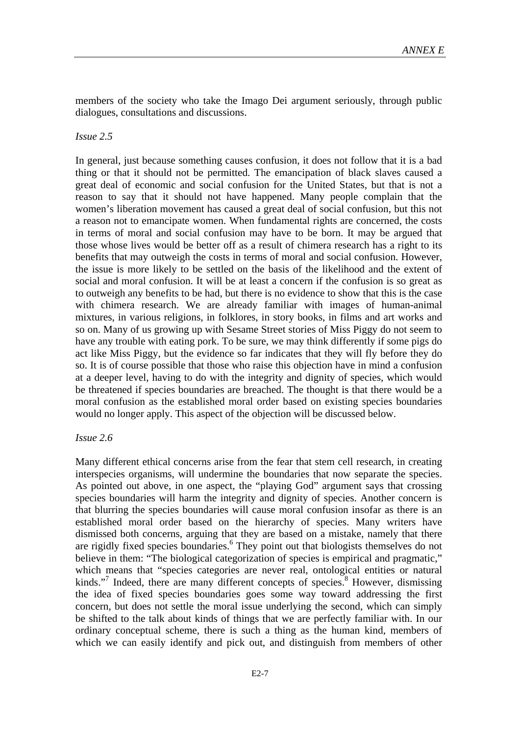members of the society who take the Imago Dei argument seriously, through public dialogues, consultations and discussions.

#### *Issue 2.5*

In general, just because something causes confusion, it does not follow that it is a bad thing or that it should not be permitted. The emancipation of black slaves caused a great deal of economic and social confusion for the United States, but that is not a reason to say that it should not have happened. Many people complain that the women's liberation movement has caused a great deal of social confusion, but this not a reason not to emancipate women. When fundamental rights are concerned, the costs in terms of moral and social confusion may have to be born. It may be argued that those whose lives would be better off as a result of chimera research has a right to its benefits that may outweigh the costs in terms of moral and social confusion. However, the issue is more likely to be settled on the basis of the likelihood and the extent of social and moral confusion. It will be at least a concern if the confusion is so great as to outweigh any benefits to be had, but there is no evidence to show that this is the case with chimera research. We are already familiar with images of human-animal mixtures, in various religions, in folklores, in story books, in films and art works and so on. Many of us growing up with Sesame Street stories of Miss Piggy do not seem to have any trouble with eating pork. To be sure, we may think differently if some pigs do act like Miss Piggy, but the evidence so far indicates that they will fly before they do so. It is of course possible that those who raise this objection have in mind a confusion at a deeper level, having to do with the integrity and dignity of species, which would be threatened if species boundaries are breached. The thought is that there would be a moral confusion as the established moral order based on existing species boundaries would no longer apply. This aspect of the objection will be discussed below.

#### *Issue 2.6*

Many different ethical concerns arise from the fear that stem cell research, in creating interspecies organisms, will undermine the boundaries that now separate the species. As pointed out above, in one aspect, the "playing God" argument says that crossing species boundaries will harm the integrity and dignity of species. Another concern is that blurring the species boundaries will cause moral confusion insofar as there is an established moral order based on the hierarchy of species. Many writers have dismissed both concerns, arguing that they are based on a mistake, namely that there are rigidly fixed species boundaries.<sup>6</sup> They point out that biologists themselves do not believe in them: "The biological categorization of species is empirical and pragmatic," which means that "species categories are never real, ontological entities or natural kinds."<sup>7</sup> Indeed, there are many different concepts of species.<sup>8</sup> However, dismissing the idea of fixed species boundaries goes some way toward addressing the first concern, but does not settle the moral issue underlying the second, which can simply be shifted to the talk about kinds of things that we are perfectly familiar with. In our ordinary conceptual scheme, there is such a thing as the human kind, members of which we can easily identify and pick out, and distinguish from members of other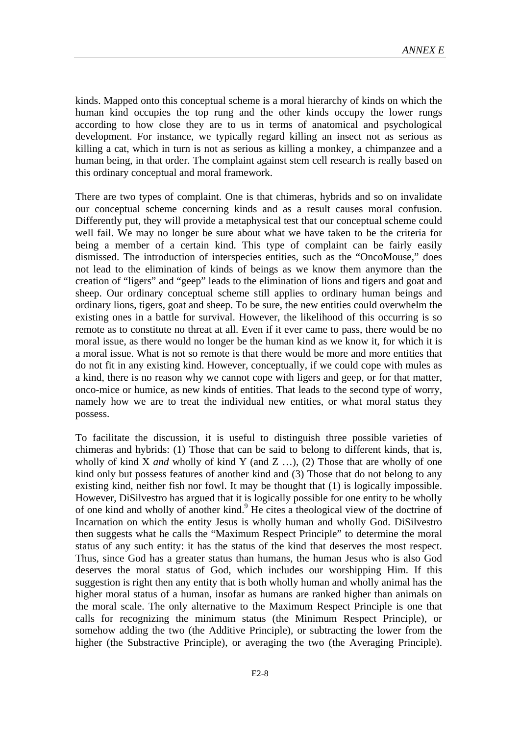kinds. Mapped onto this conceptual scheme is a moral hierarchy of kinds on which the human kind occupies the top rung and the other kinds occupy the lower rungs according to how close they are to us in terms of anatomical and psychological development. For instance, we typically regard killing an insect not as serious as killing a cat, which in turn is not as serious as killing a monkey, a chimpanzee and a human being, in that order. The complaint against stem cell research is really based on this ordinary conceptual and moral framework.

There are two types of complaint. One is that chimeras, hybrids and so on invalidate our conceptual scheme concerning kinds and as a result causes moral confusion. Differently put, they will provide a metaphysical test that our conceptual scheme could well fail. We may no longer be sure about what we have taken to be the criteria for being a member of a certain kind. This type of complaint can be fairly easily dismissed. The introduction of interspecies entities, such as the "OncoMouse," does not lead to the elimination of kinds of beings as we know them anymore than the creation of "ligers" and "geep" leads to the elimination of lions and tigers and goat and sheep. Our ordinary conceptual scheme still applies to ordinary human beings and ordinary lions, tigers, goat and sheep. To be sure, the new entities could overwhelm the existing ones in a battle for survival. However, the likelihood of this occurring is so remote as to constitute no threat at all. Even if it ever came to pass, there would be no moral issue, as there would no longer be the human kind as we know it, for which it is a moral issue. What is not so remote is that there would be more and more entities that do not fit in any existing kind. However, conceptually, if we could cope with mules as a kind, there is no reason why we cannot cope with ligers and geep, or for that matter, onco-mice or humice, as new kinds of entities. That leads to the second type of worry, namely how we are to treat the individual new entities, or what moral status they possess.

To facilitate the discussion, it is useful to distinguish three possible varieties of chimeras and hybrids: (1) Those that can be said to belong to different kinds, that is, wholly of kind X *and* wholly of kind Y (and Z …), (2) Those that are wholly of one kind only but possess features of another kind and (3) Those that do not belong to any existing kind, neither fish nor fowl. It may be thought that (1) is logically impossible. However, DiSilvestro has argued that it is logically possible for one entity to be wholly of one kind and wholly of another kind.<sup>9</sup> He cites a theological view of the doctrine of Incarnation on which the entity Jesus is wholly human and wholly God. DiSilvestro then suggests what he calls the "Maximum Respect Principle" to determine the moral status of any such entity: it has the status of the kind that deserves the most respect. Thus, since God has a greater status than humans, the human Jesus who is also God deserves the moral status of God, which includes our worshipping Him. If this suggestion is right then any entity that is both wholly human and wholly animal has the higher moral status of a human, insofar as humans are ranked higher than animals on the moral scale. The only alternative to the Maximum Respect Principle is one that calls for recognizing the minimum status (the Minimum Respect Principle), or somehow adding the two (the Additive Principle), or subtracting the lower from the higher (the Substractive Principle), or averaging the two (the Averaging Principle).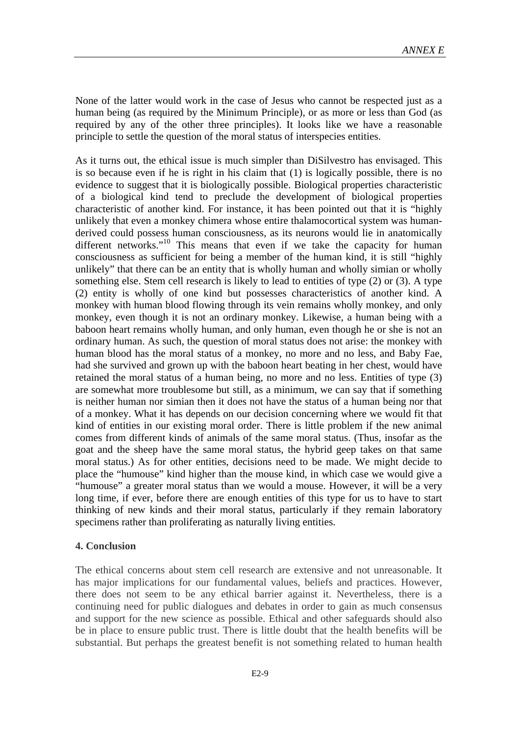None of the latter would work in the case of Jesus who cannot be respected just as a human being (as required by the Minimum Principle), or as more or less than God (as required by any of the other three principles). It looks like we have a reasonable principle to settle the question of the moral status of interspecies entities.

As it turns out, the ethical issue is much simpler than DiSilvestro has envisaged. This is so because even if he is right in his claim that (1) is logically possible, there is no evidence to suggest that it is biologically possible. Biological properties characteristic of a biological kind tend to preclude the development of biological properties characteristic of another kind. For instance, it has been pointed out that it is "highly unlikely that even a monkey chimera whose entire thalamocortical system was humanderived could possess human consciousness, as its neurons would lie in anatomically different networks."<sup>10</sup> This means that even if we take the capacity for human consciousness as sufficient for being a member of the human kind, it is still "highly unlikely" that there can be an entity that is wholly human and wholly simian or wholly something else. Stem cell research is likely to lead to entities of type (2) or (3). A type (2) entity is wholly of one kind but possesses characteristics of another kind. A monkey with human blood flowing through its vein remains wholly monkey, and only monkey, even though it is not an ordinary monkey. Likewise, a human being with a baboon heart remains wholly human, and only human, even though he or she is not an ordinary human. As such, the question of moral status does not arise: the monkey with human blood has the moral status of a monkey, no more and no less, and Baby Fae, had she survived and grown up with the baboon heart beating in her chest, would have retained the moral status of a human being, no more and no less. Entities of type (3) are somewhat more troublesome but still, as a minimum, we can say that if something is neither human nor simian then it does not have the status of a human being nor that of a monkey. What it has depends on our decision concerning where we would fit that kind of entities in our existing moral order. There is little problem if the new animal comes from different kinds of animals of the same moral status. (Thus, insofar as the goat and the sheep have the same moral status, the hybrid geep takes on that same moral status.) As for other entities, decisions need to be made. We might decide to place the "humouse" kind higher than the mouse kind, in which case we would give a "humouse" a greater moral status than we would a mouse. However, it will be a very long time, if ever, before there are enough entities of this type for us to have to start thinking of new kinds and their moral status, particularly if they remain laboratory specimens rather than proliferating as naturally living entities.

#### **4. Conclusion**

The ethical concerns about stem cell research are extensive and not unreasonable. It has major implications for our fundamental values, beliefs and practices. However, there does not seem to be any ethical barrier against it. Nevertheless, there is a continuing need for public dialogues and debates in order to gain as much consensus and support for the new science as possible. Ethical and other safeguards should also be in place to ensure public trust. There is little doubt that the health benefits will be substantial. But perhaps the greatest benefit is not something related to human health